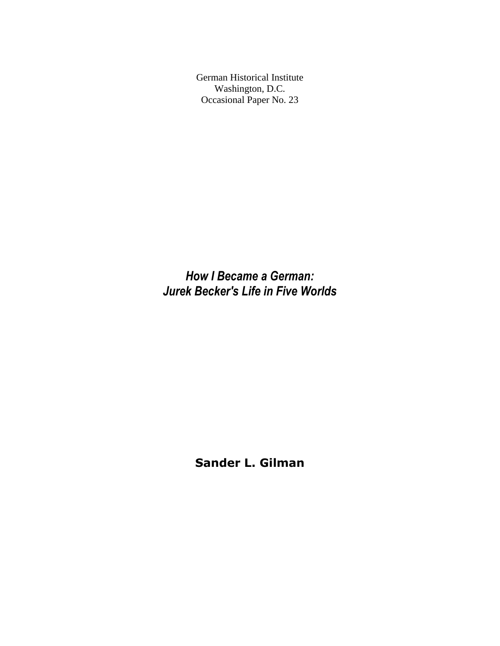German Historical Institute Washington, D.C. Occasional Paper No. 23

*How I Became a German: Jurek Becker's Life in Five Worlds*

**Sander L. Gilman**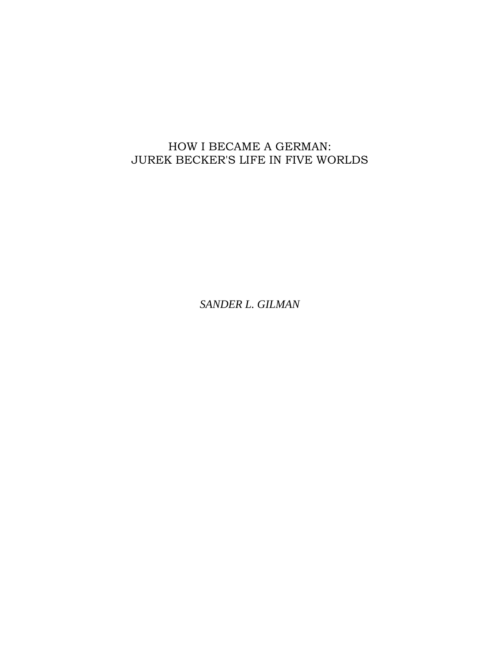## HOW I BECAME A GERMAN: JUREK BECKER'S LIFE IN FIVE WORLDS

*SANDER L. GILMAN*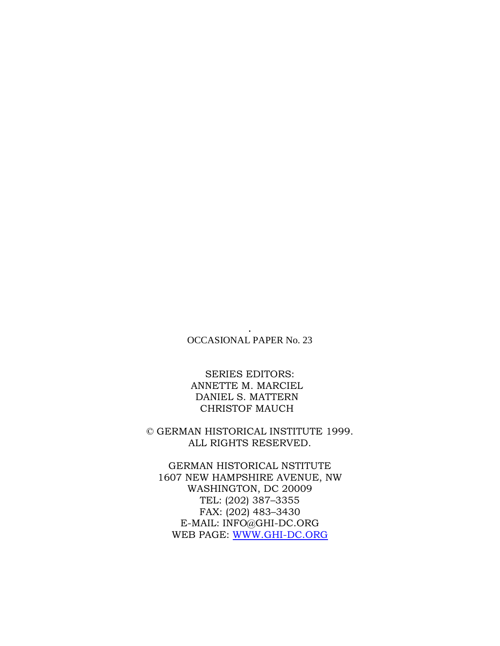. OCCASIONAL PAPER No. 23

SERIES EDITORS: ANNETTE M. MARCIEL DANIEL S. MATTERN CHRISTOF MAUCH

© GERMAN HISTORICAL INSTITUTE 1999. ALL RIGHTS RESERVED.

GERMAN HISTORICAL NSTITUTE 1607 NEW HAMPSHIRE AVENUE, NW WASHINGTON, DC 20009 TEL: (202) 387–3355 FAX: (202) 483–3430 E-MAIL: INFO@GHI-DC.ORG WEB PAGE: [WWW.GHI-DC.ORG](http://www.ghi-dc.org/)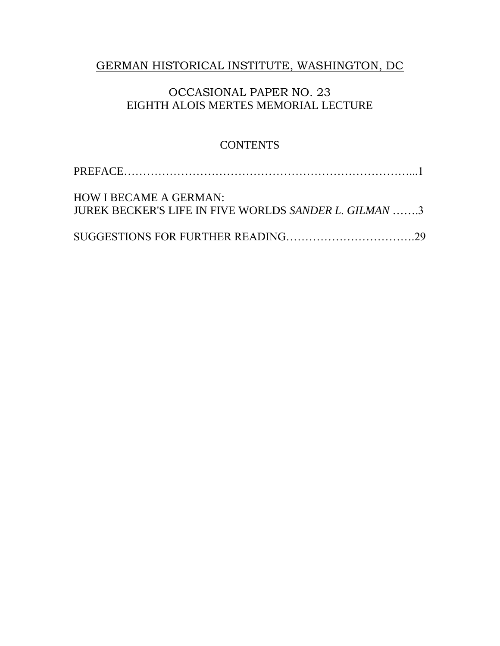## GERMAN HISTORICAL INSTITUTE, WASHINGTON, DC

## OCCASIONAL PAPER NO. 23 EIGHTH ALOIS MERTES MEMORIAL LECTURE

## **CONTENTS**

| <b>HOW I BECAME A GERMAN:</b><br>JUREK BECKER'S LIFE IN FIVE WORLDS SANDER L. GILMAN 3 |  |
|----------------------------------------------------------------------------------------|--|
|                                                                                        |  |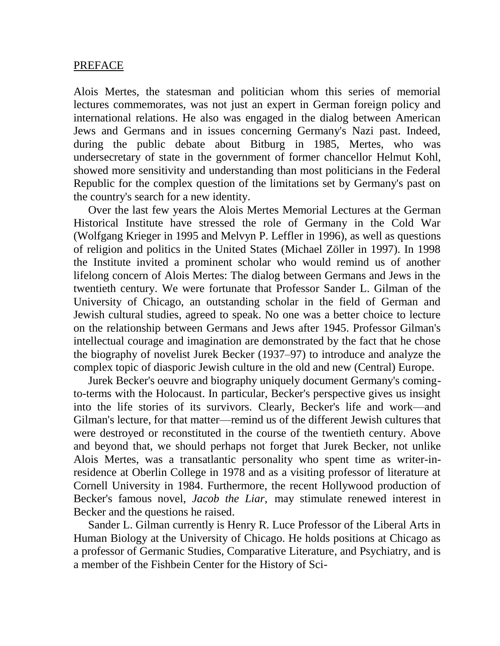#### PREFACE

Alois Mertes, the statesman and politician whom this series of memorial lectures commemorates, was not just an expert in German foreign policy and international relations. He also was engaged in the dialog between American Jews and Germans and in issues concerning Germany's Nazi past. Indeed, during the public debate about Bitburg in 1985, Mertes, who was undersecretary of state in the government of former chancellor Helmut Kohl, showed more sensitivity and understanding than most politicians in the Federal Republic for the complex question of the limitations set by Germany's past on the country's search for a new identity.

Over the last few years the Alois Mertes Memorial Lectures at the German Historical Institute have stressed the role of Germany in the Cold War (Wolfgang Krieger in 1995 and Melvyn P. Leffler in 1996), as well as questions of religion and politics in the United States (Michael Zöller in 1997). In 1998 the Institute invited a prominent scholar who would remind us of another lifelong concern of Alois Mertes: The dialog between Germans and Jews in the twentieth century. We were fortunate that Professor Sander L. Gilman of the University of Chicago, an outstanding scholar in the field of German and Jewish cultural studies, agreed to speak. No one was a better choice to lecture on the relationship between Germans and Jews after 1945. Professor Gilman's intellectual courage and imagination are demonstrated by the fact that he chose the biography of novelist Jurek Becker (1937–97) to introduce and analyze the complex topic of diasporic Jewish culture in the old and new (Central) Europe.

Jurek Becker's oeuvre and biography uniquely document Germany's comingto-terms with the Holocaust. In particular, Becker's perspective gives us insight into the life stories of its survivors. Clearly, Becker's life and work—and Gilman's lecture, for that matter—remind us of the different Jewish cultures that were destroyed or reconstituted in the course of the twentieth century. Above and beyond that, we should perhaps not forget that Jurek Becker, not unlike Alois Mertes, was a transatlantic personality who spent time as writer-inresidence at Oberlin College in 1978 and as a visiting professor of literature at Cornell University in 1984. Furthermore, the recent Hollywood production of Becker's famous novel, *Jacob the Liar*, may stimulate renewed interest in Becker and the questions he raised.

Sander L. Gilman currently is Henry R. Luce Professor of the Liberal Arts in Human Biology at the University of Chicago. He holds positions at Chicago as a professor of Germanic Studies, Comparative Literature, and Psychiatry, and is a member of the Fishbein Center for the History of Sci-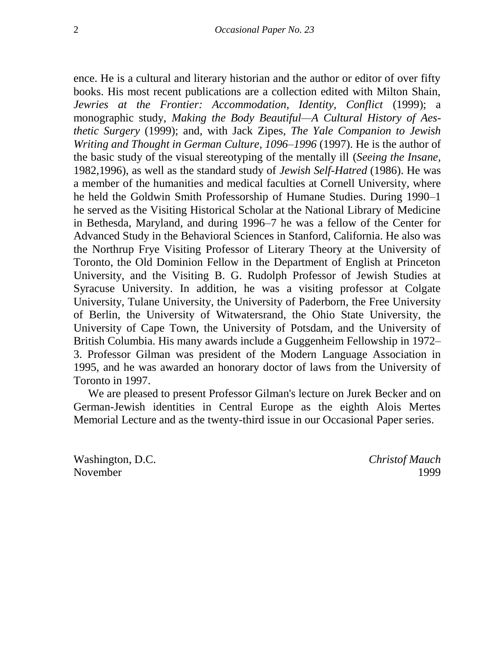ence. He is a cultural and literary historian and the author or editor of over fifty books. His most recent publications are a collection edited with Milton Shain, *Jewries at the Frontier: Accommodation, Identity, Conflict* (1999); a monographic study, *Making the Body Beautiful—A Cultural History of Aesthetic Surgery* (1999); and, with Jack Zipes, *The Yale Companion to Jewish Writing and Thought in German Culture, 1096–1996* (1997). He is the author of the basic study of the visual stereotyping of the mentally ill (*Seeing the Insane,*  1982,1996), as well as the standard study of *Jewish Self-Hatred* (1986). He was a member of the humanities and medical faculties at Cornell University, where he held the Goldwin Smith Professorship of Humane Studies. During 1990–1 he served as the Visiting Historical Scholar at the National Library of Medicine in Bethesda, Maryland, and during 1996–7 he was a fellow of the Center for Advanced Study in the Behavioral Sciences in Stanford, California. He also was the Northrup Frye Visiting Professor of Literary Theory at the University of Toronto, the Old Dominion Fellow in the Department of English at Princeton University, and the Visiting B. G. Rudolph Professor of Jewish Studies at Syracuse University. In addition, he was a visiting professor at Colgate University, Tulane University, the University of Paderborn, the Free University of Berlin, the University of Witwatersrand, the Ohio State University, the University of Cape Town, the University of Potsdam, and the University of British Columbia. His many awards include a Guggenheim Fellowship in 1972– 3. Professor Gilman was president of the Modern Language Association in 1995, and he was awarded an honorary doctor of laws from the University of Toronto in 1997.

We are pleased to present Professor Gilman's lecture on Jurek Becker and on German-Jewish identities in Central Europe as the eighth Alois Mertes Memorial Lecture and as the twenty-third issue in our Occasional Paper series.

Washington, D.C. *Christof Mauch* November 1999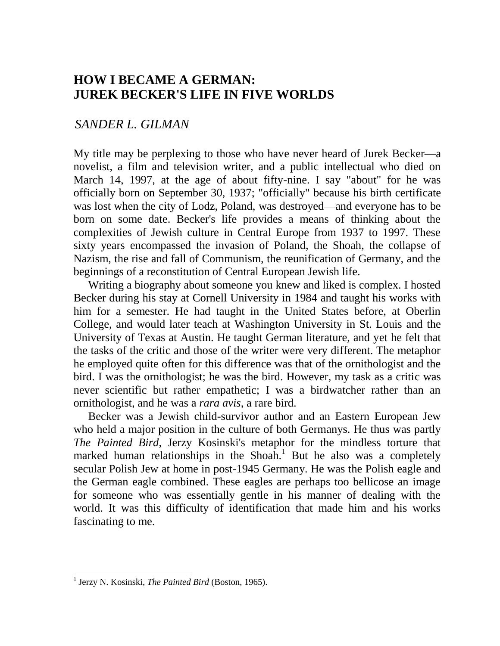# **HOW I BECAME A GERMAN: JUREK BECKER'S LIFE IN FIVE WORLDS**

## *SANDER L. GILMAN*

My title may be perplexing to those who have never heard of Jurek Becker—a novelist, a film and television writer, and a public intellectual who died on March 14, 1997, at the age of about fifty-nine. I say "about" for he was officially born on September 30, 1937; "officially" because his birth certificate was lost when the city of Lodz, Poland, was destroyed—and everyone has to be born on some date. Becker's life provides a means of thinking about the complexities of Jewish culture in Central Europe from 1937 to 1997. These sixty years encompassed the invasion of Poland, the Shoah, the collapse of Nazism, the rise and fall of Communism, the reunification of Germany, and the beginnings of a reconstitution of Central European Jewish life.

Writing a biography about someone you knew and liked is complex. I hosted Becker during his stay at Cornell University in 1984 and taught his works with him for a semester. He had taught in the United States before, at Oberlin College, and would later teach at Washington University in St. Louis and the University of Texas at Austin. He taught German literature, and yet he felt that the tasks of the critic and those of the writer were very different. The metaphor he employed quite often for this difference was that of the ornithologist and the bird. I was the ornithologist; he was the bird. However, my task as a critic was never scientific but rather empathetic; I was a birdwatcher rather than an ornithologist, and he was a *rara avis*, a rare bird.

Becker was a Jewish child-survivor author and an Eastern European Jew who held a major position in the culture of both Germanys. He thus was partly *The Painted Bird*, Jerzy Kosinski's metaphor for the mindless torture that marked human relationships in the Shoah.<sup>1</sup> But he also was a completely secular Polish Jew at home in post-1945 Germany. He was the Polish eagle and the German eagle combined. These eagles are perhaps too bellicose an image for someone who was essentially gentle in his manner of dealing with the world. It was this difficulty of identification that made him and his works fascinating to me.

<sup>&</sup>lt;sup>1</sup> Jerzy N. Kosinski, *The Painted Bird* (Boston, 1965).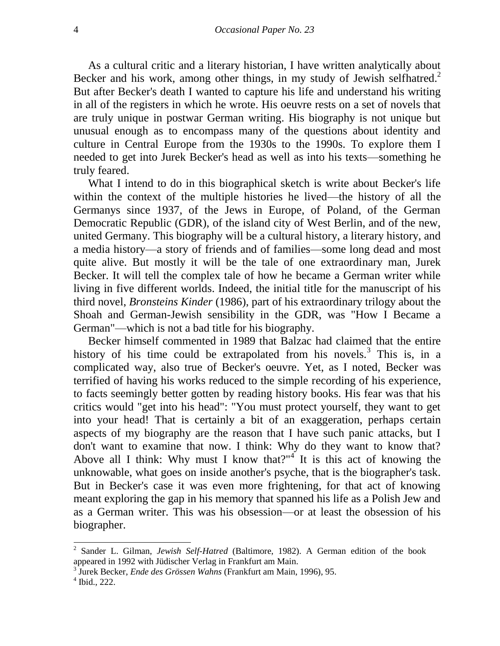As a cultural critic and a literary historian, I have written analytically about Becker and his work, among other things, in my study of Jewish selfhatred.<sup>2</sup> But after Becker's death I wanted to capture his life and understand his writing in all of the registers in which he wrote. His oeuvre rests on a set of novels that are truly unique in postwar German writing. His biography is not unique but unusual enough as to encompass many of the questions about identity and culture in Central Europe from the 1930s to the 1990s. To explore them I needed to get into Jurek Becker's head as well as into his texts—something he truly feared.

What I intend to do in this biographical sketch is write about Becker's life within the context of the multiple histories he lived—the history of all the Germanys since 1937, of the Jews in Europe, of Poland, of the German Democratic Republic (GDR), of the island city of West Berlin, and of the new, united Germany. This biography will be a cultural history, a literary history, and a media history—a story of friends and of families—some long dead and most quite alive. But mostly it will be the tale of one extraordinary man, Jurek Becker. It will tell the complex tale of how he became a German writer while living in five different worlds. Indeed, the initial title for the manuscript of his third novel, *Bronsteins Kinder* (1986), part of his extraordinary trilogy about the Shoah and German-Jewish sensibility in the GDR, was "How I Became a German"—which is not a bad title for his biography.

Becker himself commented in 1989 that Balzac had claimed that the entire history of his time could be extrapolated from his novels.<sup>3</sup> This is, in a complicated way, also true of Becker's oeuvre. Yet, as I noted, Becker was terrified of having his works reduced to the simple recording of his experience, to facts seemingly better gotten by reading history books. His fear was that his critics would "get into his head": "You must protect yourself, they want to get into your head! That is certainly a bit of an exaggeration, perhaps certain aspects of my biography are the reason that I have such panic attacks, but I don't want to examine that now. I think: Why do they want to know that? Above all I think: Why must I know that?"<sup>4</sup> It is this act of knowing the unknowable, what goes on inside another's psyche, that is the biographer's task. But in Becker's case it was even more frightening, for that act of knowing meant exploring the gap in his memory that spanned his life as a Polish Jew and as a German writer. This was his obsession—or at least the obsession of his biographer.

<sup>2</sup> Sander L. Gilman, *Jewish Self-Hatred* (Baltimore, 1982). A German edition of the book appeared in 1992 with Jüdischer Verlag in Frankfurt am Main.

<sup>3</sup> Jurek Becker, *Ende des Grössen Wahns* (Frankfurt am Main, 1996), 95.

<sup>4</sup> Ibid., 222.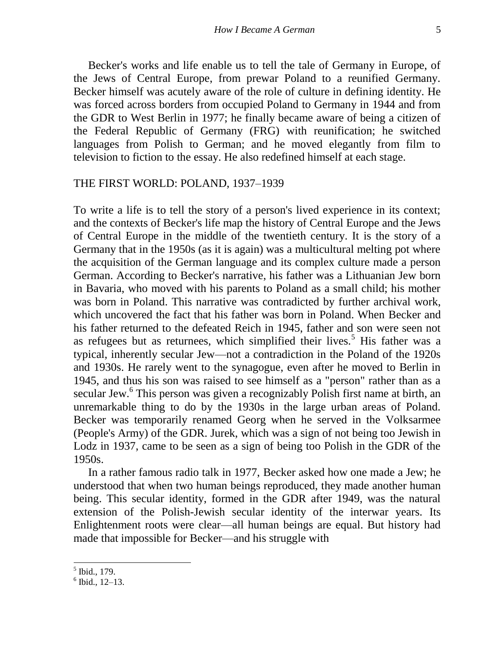Becker's works and life enable us to tell the tale of Germany in Europe, of the Jews of Central Europe, from prewar Poland to a reunified Germany. Becker himself was acutely aware of the role of culture in defining identity. He was forced across borders from occupied Poland to Germany in 1944 and from the GDR to West Berlin in 1977; he finally became aware of being a citizen of the Federal Republic of Germany (FRG) with reunification; he switched languages from Polish to German; and he moved elegantly from film to television to fiction to the essay. He also redefined himself at each stage.

#### THE FIRST WORLD: POLAND, 1937–1939

To write a life is to tell the story of a person's lived experience in its context; and the contexts of Becker's life map the history of Central Europe and the Jews of Central Europe in the middle of the twentieth century. It is the story of a Germany that in the 1950s (as it is again) was a multicultural melting pot where the acquisition of the German language and its complex culture made a person German. According to Becker's narrative, his father was a Lithuanian Jew born in Bavaria, who moved with his parents to Poland as a small child; his mother was born in Poland. This narrative was contradicted by further archival work, which uncovered the fact that his father was born in Poland. When Becker and his father returned to the defeated Reich in 1945, father and son were seen not as refugees but as returnees, which simplified their lives.<sup>5</sup> His father was a typical, inherently secular Jew—not a contradiction in the Poland of the 1920s and 1930s. He rarely went to the synagogue, even after he moved to Berlin in 1945, and thus his son was raised to see himself as a "person" rather than as a secular Jew.<sup>6</sup> This person was given a recognizably Polish first name at birth, an unremarkable thing to do by the 1930s in the large urban areas of Poland. Becker was temporarily renamed Georg when he served in the Volksarmee (People's Army) of the GDR. Jurek, which was a sign of not being too Jewish in Lodz in 1937, came to be seen as a sign of being too Polish in the GDR of the 1950s.

In a rather famous radio talk in 1977, Becker asked how one made a Jew; he understood that when two human beings reproduced, they made another human being. This secular identity, formed in the GDR after 1949, was the natural extension of the Polish-Jewish secular identity of the interwar years. Its Enlightenment roots were clear—all human beings are equal. But history had made that impossible for Becker—and his struggle with

 5 Ibid., 179.

 $6$  Ibid., 12–13.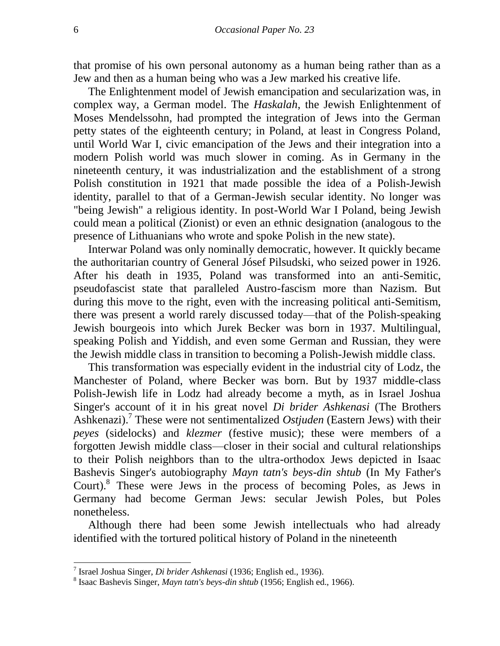that promise of his own personal autonomy as a human being rather than as a Jew and then as a human being who was a Jew marked his creative life.

The Enlightenment model of Jewish emancipation and secularization was, in complex way, a German model. The *Haskalah*, the Jewish Enlightenment of Moses Mendelssohn, had prompted the integration of Jews into the German petty states of the eighteenth century; in Poland, at least in Congress Poland, until World War I, civic emancipation of the Jews and their integration into a modern Polish world was much slower in coming. As in Germany in the nineteenth century, it was industrialization and the establishment of a strong Polish constitution in 1921 that made possible the idea of a Polish-Jewish identity, parallel to that of a German-Jewish secular identity. No longer was "being Jewish" a religious identity. In post-World War I Poland, being Jewish could mean a political (Zionist) or even an ethnic designation (analogous to the presence of Lithuanians who wrote and spoke Polish in the new state).

Interwar Poland was only nominally democratic, however. It quickly became the authoritarian country of General Jósef Pilsudski, who seized power in 1926. After his death in 1935, Poland was transformed into an anti-Semitic, pseudofascist state that paralleled Austro-fascism more than Nazism. But during this move to the right, even with the increasing political anti-Semitism, there was present a world rarely discussed today—that of the Polish-speaking Jewish bourgeois into which Jurek Becker was born in 1937. Multilingual, speaking Polish and Yiddish, and even some German and Russian, they were the Jewish middle class in transition to becoming a Polish-Jewish middle class.

This transformation was especially evident in the industrial city of Lodz, the Manchester of Poland, where Becker was born. But by 1937 middle-class Polish-Jewish life in Lodz had already become a myth, as in Israel Joshua Singer's account of it in his great novel *Di brider Ashkenasi* (The Brothers Ashkenazi).<sup>7</sup> These were not sentimentalized *Ostjuden* (Eastern Jews) with their *peyes* (sidelocks) and *klezmer* (festive music); these were members of a forgotten Jewish middle class—closer in their social and cultural relationships to their Polish neighbors than to the ultra-orthodox Jews depicted in Isaac Bashevis Singer's autobiography *Mayn tatn's beys-din shtub* (In My Father's Court).<sup>8</sup> These were Jews in the process of becoming Poles, as Jews in Germany had become German Jews: secular Jewish Poles, but Poles nonetheless.

Although there had been some Jewish intellectuals who had already identified with the tortured political history of Poland in the nineteenth

 7 Israel Joshua Singer, *Di brider Ashkenasi* (1936; English ed., 1936).

<sup>8</sup> Isaac Bashevis Singer, *Mayn tatn's beys-din shtub* (1956; English ed., 1966).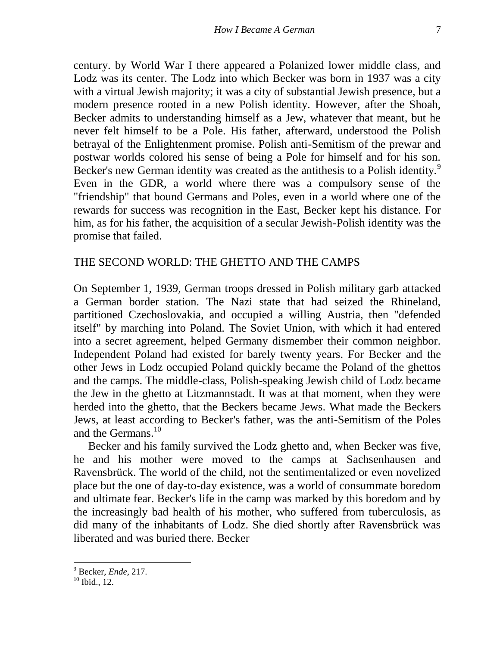[century. by](http://century.by/) World War I there appeared a Polanized lower middle class, and Lodz was its center. The Lodz into which Becker was born in 1937 was a city with a virtual Jewish majority; it was a city of substantial Jewish presence, but a modern presence rooted in a new Polish identity. However, after the Shoah, Becker admits to understanding himself as a Jew, whatever that meant, but he never felt himself to be a Pole. His father, afterward, understood the Polish betrayal of the Enlightenment promise. Polish anti-Semitism of the prewar and postwar worlds colored his sense of being a Pole for himself and for his son. Becker's new German identity was created as the antithesis to a Polish identity.<sup>9</sup> Even in the GDR, a world where there was a compulsory sense of the "friendship" that bound Germans and Poles, even in a world where one of the rewards for success was recognition in the East, Becker kept his distance. For him, as for his father, the acquisition of a secular Jewish-Polish identity was the promise that failed.

### THE SECOND WORLD: THE GHETTO AND THE CAMPS

On September 1, 1939, German troops dressed in Polish military garb attacked a German border station. The Nazi state that had seized the Rhineland, partitioned Czechoslovakia, and occupied a willing Austria, then "defended itself" by marching into Poland. The Soviet Union, with which it had entered into a secret agreement, helped Germany dismember their common neighbor. Independent Poland had existed for barely twenty years. For Becker and the other Jews in Lodz occupied Poland quickly became the Poland of the ghettos and the camps. The middle-class, Polish-speaking Jewish child of Lodz became the Jew in the ghetto at Litzmannstadt. It was at that moment, when they were herded into the ghetto, that the Beckers became Jews. What made the Beckers Jews, at least according to Becker's father, was the anti-Semitism of the Poles and the Germans.<sup>10</sup>

Becker and his family survived the Lodz ghetto and, when Becker was five, he and his mother were moved to the camps at Sachsenhausen and Ravensbrück. The world of the child, not the sentimentalized or even novelized place but the one of day-to-day existence, was a world of consummate boredom and ultimate fear. Becker's life in the camp was marked by this boredom and by the increasingly bad health of his mother, who suffered from tuberculosis, as did many of the inhabitants of Lodz. She died shortly after Ravensbrück was liberated and was buried there. Becker

<sup>9</sup> Becker, *Ende*, 217.

<sup>&</sup>lt;sup>10</sup> Ibid., 12.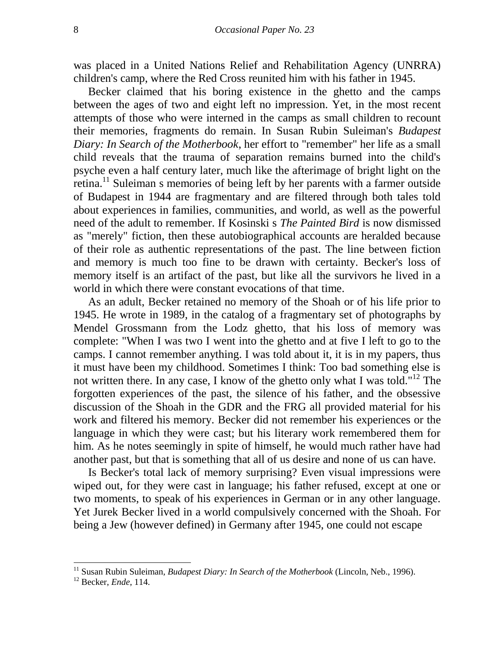was placed in a United Nations Relief and Rehabilitation Agency (UNRRA) children's camp, where the Red Cross reunited him with his father in 1945.

Becker claimed that his boring existence in the ghetto and the camps between the ages of two and eight left no impression. Yet, in the most recent attempts of those who were interned in the camps as small children to recount their memories, fragments do remain. In Susan Rubin Suleiman's *Budapest Diary: In Search of the Motherbook*, her effort to "remember" her life as a small child reveals that the trauma of separation remains burned into the child's psyche even a half century later, much like the afterimage of bright light on the retina.<sup>11</sup> Suleiman s memories of being left by her parents with a farmer outside of Budapest in 1944 are fragmentary and are filtered through both tales told about experiences in families, communities, and world, as well as the powerful need of the adult to remember. If Kosinski s *The Painted Bird* is now dismissed as "merely" fiction, then these autobiographical accounts are heralded because of their role as authentic representations of the past. The line between fiction and memory is much too fine to be drawn with certainty. Becker's loss of memory itself is an artifact of the past, but like all the survivors he lived in a world in which there were constant evocations of that time.

As an adult, Becker retained no memory of the Shoah or of his life prior to 1945. He wrote in 1989, in the catalog of a fragmentary set of photographs by Mendel Grossmann from the Lodz ghetto, that his loss of memory was complete: "When I was two I went into the ghetto and at five I left to go to the camps. I cannot remember anything. I was told about it, it is in my papers, thus it must have been my childhood. Sometimes I think: Too bad something else is not written there. In any case, I know of the ghetto only what I was told."<sup>12</sup> The forgotten experiences of the past, the silence of his father, and the obsessive discussion of the Shoah in the GDR and the FRG all provided material for his work and filtered his memory. Becker did not remember his experiences or the language in which they were cast; but his literary work remembered them for him. As he notes seemingly in spite of himself, he would much rather have had another past, but that is something that all of us desire and none of us can have.

Is Becker's total lack of memory surprising? Even visual impressions were wiped out, for they were cast in language; his father refused, except at one or two moments, to speak of his experiences in German or in any other language. Yet Jurek Becker lived in a world compulsively concerned with the Shoah. For being a Jew (however defined) in Germany after 1945, one could not escape

<sup>&</sup>lt;sup>11</sup> Susan Rubin Suleiman, *Budapest Diary: In Search of the Motherbook* (Lincoln, Neb., 1996).

<sup>12</sup> Becker, *Ende*, 114.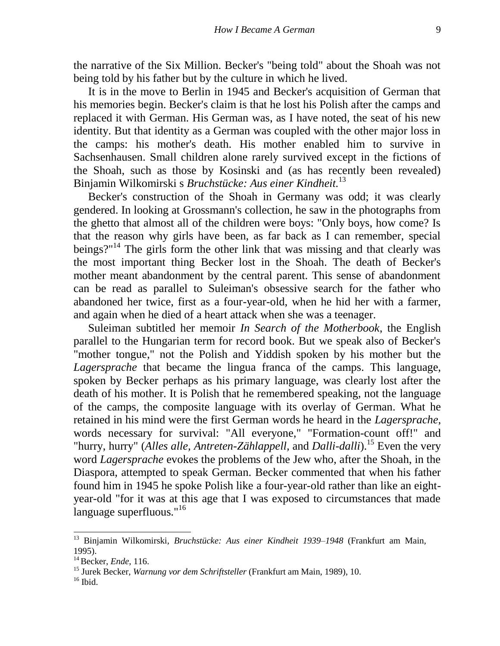the narrative of the Six Million. Becker's "being told" about the Shoah was not being told by his father but by the culture in which he lived.

It is in the move to Berlin in 1945 and Becker's acquisition of German that his memories begin. Becker's claim is that he lost his Polish after the camps and replaced it with German. His German was, as I have noted, the seat of his new identity. But that identity as a German was coupled with the other major loss in the camps: his mother's death. His mother enabled him to survive in Sachsenhausen. Small children alone rarely survived except in the fictions of the Shoah, such as those by Kosinski and (as has recently been revealed) Binjamin Wilkomirski s *Bruchstücke: Aus einer Kindheit.*<sup>13</sup>

Becker's construction of the Shoah in Germany was odd; it was clearly gendered. In looking at Grossmann's collection, he saw in the photographs from the ghetto that almost all of the children were boys: "Only boys, how come? Is that the reason why girls have been, as far back as I can remember, special beings?"<sup>14</sup> The girls form the other link that was missing and that clearly was the most important thing Becker lost in the Shoah. The death of Becker's mother meant abandonment by the central parent. This sense of abandonment can be read as parallel to Suleiman's obsessive search for the father who abandoned her twice, first as a four-year-old, when he hid her with a farmer, and again when he died of a heart attack when she was a teenager.

Suleiman subtitled her memoir *In Search of the Motherbook*, the English parallel to the Hungarian term for record book. But we speak also of Becker's "mother tongue," not the Polish and Yiddish spoken by his mother but the *Lagersprache* that became the lingua franca of the camps. This language, spoken by Becker perhaps as his primary language, was clearly lost after the death of his mother. It is Polish that he remembered speaking, not the language of the camps, the composite language with its overlay of German. What he retained in his mind were the first German words he heard in the *Lagersprache*, words necessary for survival: "All everyone," "Formation-count off!" and "hurry, hurry" (*Alles alle, Antreten-Zählappell,* and *Dalli-dalli*).<sup>15</sup> Even the very word *Lagersprache* evokes the problems of the Jew who, after the Shoah, in the Diaspora, attempted to speak German. Becker commented that when his father found him in 1945 he spoke Polish like a four-year-old rather than like an eightyear-old "for it was at this age that I was exposed to circumstances that made language superfluous."<sup>16</sup>

<sup>13</sup> Binjamin Wilkomirski, *Bruchstücke: Aus einer Kindheit 1939–1948* (Frankfurt am Main, 1995).

<sup>14</sup>Becker, *Ende*, 116.

<sup>15</sup> Jurek Becker, *Warnung vor dem Schriftsteller* (Frankfurt am Main, 1989), 10.

 $16$  Ibid.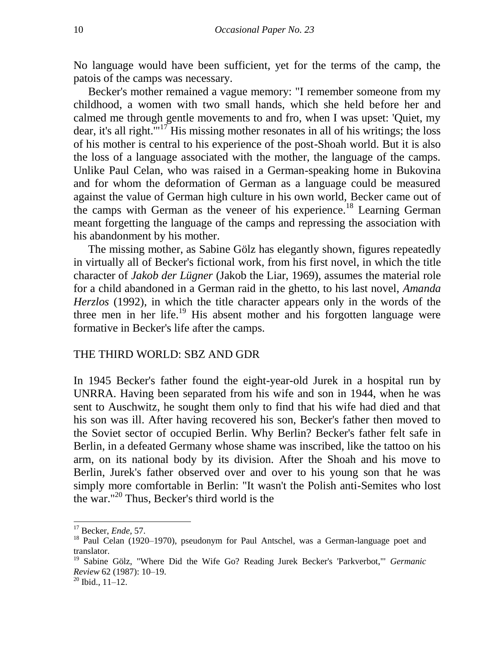No language would have been sufficient, yet for the terms of the camp, the patois of the camps was necessary.

Becker's mother remained a vague memory: "I remember someone from my childhood, a women with two small hands, which she held before her and calmed me through gentle movements to and fro, when I was upset: 'Quiet, my dear, it's all right.'"<sup>17</sup> His missing mother resonates in all of his writings; the loss of his mother is central to his experience of the post-Shoah world. But it is also the loss of a language associated with the mother, the language of the camps. Unlike Paul Celan, who was raised in a German-speaking home in Bukovina and for whom the deformation of German as a language could be measured against the value of German high culture in his own world, Becker came out of the camps with German as the veneer of his experience.<sup>18</sup> Learning German meant forgetting the language of the camps and repressing the association with his abandonment by his mother.

The missing mother, as Sabine Gölz has elegantly shown, figures repeatedly in virtually all of Becker's fictional work, from his first novel, in which the title character of *Jakob der Lügner* (Jakob the Liar, 1969), assumes the material role for a child abandoned in a German raid in the ghetto, to his last novel, *Amanda Herzlos* (1992), in which the title character appears only in the words of the three men in her life.<sup>19</sup> His absent mother and his forgotten language were formative in Becker's life after the camps.

#### THE THIRD WORLD: SBZ AND GDR

In 1945 Becker's father found the eight-year-old Jurek in a hospital run by UNRRA. Having been separated from his wife and son in 1944, when he was sent to Auschwitz, he sought them only to find that his wife had died and that his son was ill. After having recovered his son, Becker's father then moved to the Soviet sector of occupied Berlin. Why Berlin? Becker's father felt safe in Berlin, in a defeated Germany whose shame was inscribed, like the tattoo on his arm, on its national body by its division. After the Shoah and his move to Berlin, Jurek's father observed over and over to his young son that he was simply more comfortable in Berlin: "It wasn't the Polish anti-Semites who lost the war."<sup>20</sup> Thus, Becker's third world is the

<sup>17</sup> Becker, *Ende*, 57.

<sup>&</sup>lt;sup>18</sup> Paul Celan (1920–1970), pseudonym for Paul Antschel, was a German-language poet and translator.

<sup>19</sup> Sabine Gölz, "Where Did the Wife Go? Reading Jurek Becker's 'Parkverbot,"' *Germanic Review* 62 (1987): 10–19.

<sup>20</sup> Ibid., 11–12.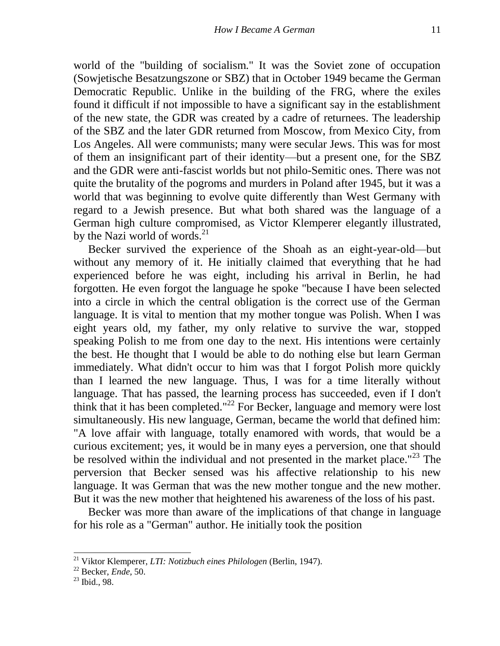world of the "building of socialism." It was the Soviet zone of occupation (Sowjetische Besatzungszone or SBZ) that in October 1949 became the German Democratic Republic. Unlike in the building of the FRG, where the exiles found it difficult if not impossible to have a significant say in the establishment of the new state, the GDR was created by a cadre of returnees. The leadership of the SBZ and the later GDR returned from Moscow, from Mexico City, from Los Angeles. All were communists; many were secular Jews. This was for most of them an insignificant part of their identity—but a present one, for the SBZ and the GDR were anti-fascist worlds but not philo-Semitic ones. There was not quite the brutality of the pogroms and murders in Poland after 1945, but it was a world that was beginning to evolve quite differently than West Germany with regard to a Jewish presence. But what both shared was the language of a German high culture compromised, as Victor Klemperer elegantly illustrated, by the Nazi world of words. $^{21}$ 

Becker survived the experience of the Shoah as an eight-year-old—but without any memory of it. He initially claimed that everything that he had experienced before he was eight, including his arrival in Berlin, he had forgotten. He even forgot the language he spoke "because I have been selected into a circle in which the central obligation is the correct use of the German language. It is vital to mention that my mother tongue was Polish. When I was eight years old, my father, my only relative to survive the war, stopped speaking Polish to me from one day to the next. His intentions were certainly the best. He thought that I would be able to do nothing else but learn German immediately. What didn't occur to him was that I forgot Polish more quickly than I learned the new language. Thus, I was for a time literally without language. That has passed, the learning process has succeeded, even if I don't think that it has been completed."<sup>22</sup> For Becker, language and memory were lost simultaneously. His new language, German, became the world that defined him: "A love affair with language, totally enamored with words, that would be a curious excitement; yes, it would be in many eyes a perversion, one that should be resolved within the individual and not presented in the market place."<sup>23</sup> The perversion that Becker sensed was his affective relationship to his new language. It was German that was the new mother tongue and the new mother. But it was the new mother that heightened his awareness of the loss of his past.

Becker was more than aware of the implications of that change in language for his role as a "German" author. He initially took the position

<sup>21</sup> Viktor Klemperer, *LTI: Notizbuch eines Philologen* (Berlin, 1947).

<sup>22</sup> Becker, *Ende*, 50.

<sup>23</sup> Ibid., 98.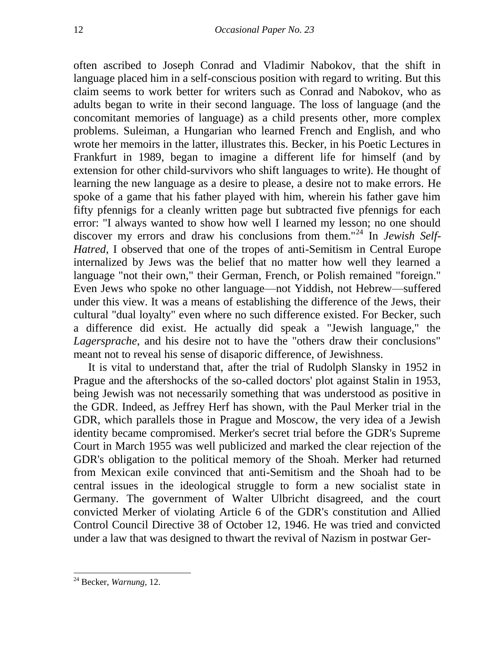often ascribed to Joseph Conrad and Vladimir Nabokov, that the shift in language placed him in a self-conscious position with regard to writing. But this claim seems to work better for writers such as Conrad and Nabokov, who as adults began to write in their second language. The loss of language (and the concomitant memories of language) as a child presents other, more complex problems. Suleiman, a Hungarian who learned French and English, and who wrote her memoirs in the latter, illustrates this. Becker, in his Poetic Lectures in Frankfurt in 1989, began to imagine a different life for himself (and by extension for other child-survivors who shift languages to write). He thought of learning the new language as a desire to please, a desire not to make errors. He spoke of a game that his father played with him, wherein his father gave him fifty pfennigs for a cleanly written page but subtracted five pfennigs for each error: "I always wanted to show how well I learned my lesson; no one should discover my errors and draw his conclusions from them.<sup>"24</sup> In *Jewish Self-Hatred*, I observed that one of the tropes of anti-Semitism in Central Europe internalized by Jews was the belief that no matter how well they learned a language "not their own," their German, French, or Polish remained "foreign." Even Jews who spoke no other language—not Yiddish, not Hebrew—suffered under this view. It was a means of establishing the difference of the Jews, their cultural "dual loyalty" even where no such difference existed. For Becker, such a difference did exist. He actually did speak a "Jewish language," the *Lagersprache*, and his desire not to have the "others draw their conclusions" meant not to reveal his sense of disaporic difference, of Jewishness.

It is vital to understand that, after the trial of Rudolph Slansky in 1952 in Prague and the aftershocks of the so-called doctors' plot against Stalin in 1953, being Jewish was not necessarily something that was understood as positive in the GDR. Indeed, as Jeffrey Herf has shown, with the Paul Merker trial in the GDR, which parallels those in Prague and Moscow, the very idea of a Jewish identity became compromised. Merker's secret trial before the GDR's Supreme Court in March 1955 was well publicized and marked the clear rejection of the GDR's obligation to the political memory of the Shoah. Merker had returned from Mexican exile convinced that anti-Semitism and the Shoah had to be central issues in the ideological struggle to form a new socialist state in Germany. The government of Walter Ulbricht disagreed, and the court convicted Merker of violating Article 6 of the GDR's constitution and Allied Control Council Directive 38 of October 12, 1946. He was tried and convicted under a law that was designed to thwart the revival of Nazism in postwar Ger-

<sup>24</sup> Becker, *Warnung*, 12.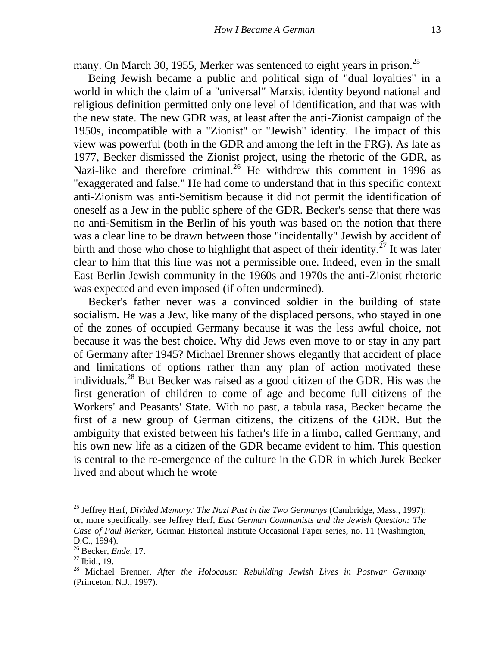many. On March 30, 1955, Merker was sentenced to eight years in prison.<sup>25</sup>

Being Jewish became a public and political sign of "dual loyalties" in a world in which the claim of a "universal" Marxist identity beyond national and religious definition permitted only one level of identification, and that was with the new state. The new GDR was, at least after the anti-Zionist campaign of the 1950s, incompatible with a "Zionist" or "Jewish" identity. The impact of this view was powerful (both in the GDR and among the left in the FRG). As late as 1977, Becker dismissed the Zionist project, using the rhetoric of the GDR, as Nazi-like and therefore criminal.<sup>26</sup> He withdrew this comment in 1996 as "exaggerated and false." He had come to understand that in this specific context anti-Zionism was anti-Semitism because it did not permit the identification of oneself as a Jew in the public sphere of the GDR. Becker's sense that there was no anti-Semitism in the Berlin of his youth was based on the notion that there was a clear line to be drawn between those "incidentally" Jewish by accident of birth and those who chose to highlight that aspect of their identity.<sup> $27$ </sup> It was later clear to him that this line was not a permissible one. Indeed, even in the small East Berlin Jewish community in the 1960s and 1970s the anti-Zionist rhetoric was expected and even imposed (if often undermined).

Becker's father never was a convinced soldier in the building of state socialism. He was a Jew, like many of the displaced persons, who stayed in one of the zones of occupied Germany because it was the less awful choice, not because it was the best choice. Why did Jews even move to or stay in any part of Germany after 1945? Michael Brenner shows elegantly that accident of place and limitations of options rather than any plan of action motivated these individuals.<sup>28</sup> But Becker was raised as a good citizen of the GDR. His was the first generation of children to come of age and become full citizens of the Workers' and Peasants' State. With no past, a tabula rasa, Becker became the first of a new group of German citizens, the citizens of the GDR. But the ambiguity that existed between his father's life in a limbo, called Germany, and his own new life as a citizen of the GDR became evident to him. This question is central to the re-emergence of the culture in the GDR in which Jurek Becker lived and about which he wrote

l

<sup>&</sup>lt;sup>25</sup> Jeffrey Herf, *Divided Memory.*' The Nazi Past in the Two Germanys (Cambridge, Mass., 1997); or, more specifically, see Jeffrey Herf, *East German Communists and the Jewish Question: The Case of Paul Merker*, German Historical Institute Occasional Paper series, no. 11 (Washington, D.C., 1994).

<sup>26</sup> Becker, *Ende*, 17.

 $27$  Ibid., 19.

<sup>28</sup> Michael Brenner, *After the Holocaust: Rebuilding Jewish Lives in Postwar Germany* (Princeton, N.J., 1997).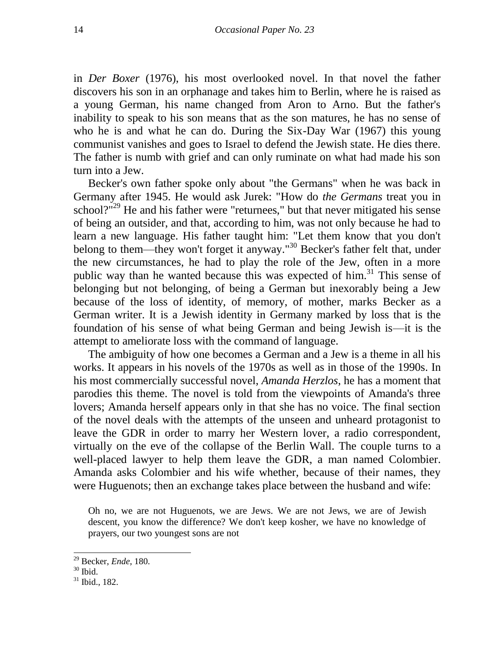in *Der Boxer* (1976), his most overlooked novel. In that novel the father discovers his son in an orphanage and takes him to Berlin, where he is raised as a young German, his name changed from Aron to Arno. But the father's inability to speak to his son means that as the son matures, he has no sense of who he is and what he can do. During the Six-Day War (1967) this young communist vanishes and goes to Israel to defend the Jewish state. He dies there. The father is numb with grief and can only ruminate on what had made his son turn into a Jew.

Becker's own father spoke only about "the Germans" when he was back in Germany after 1945. He would ask Jurek: "How do *the Germans* treat you in school? $10^{129}$  He and his father were "returnees," but that never mitigated his sense of being an outsider, and that, according to him, was not only because he had to learn a new language. His father taught him: "Let them know that you don't belong to them—they won't forget it anyway."<sup>30</sup> Becker's father felt that, under the new circumstances, he had to play the role of the Jew, often in a more public way than he wanted because this was expected of him. $31$  This sense of belonging but not belonging, of being a German but inexorably being a Jew because of the loss of identity, of memory, of mother, marks Becker as a German writer. It is a Jewish identity in Germany marked by loss that is the foundation of his sense of what being German and being Jewish is—it is the attempt to ameliorate loss with the command of language.

The ambiguity of how one becomes a German and a Jew is a theme in all his works. It appears in his novels of the 1970s as well as in those of the 1990s. In his most commercially successful novel, *Amanda Herzlos*, he has a moment that parodies this theme. The novel is told from the viewpoints of Amanda's three lovers; Amanda herself appears only in that she has no voice. The final section of the novel deals with the attempts of the unseen and unheard protagonist to leave the GDR in order to marry her Western lover, a radio correspondent, virtually on the eve of the collapse of the Berlin Wall. The couple turns to a well-placed lawyer to help them leave the GDR, a man named Colombier. Amanda asks Colombier and his wife whether, because of their names, they were Huguenots; then an exchange takes place between the husband and wife:

Oh no, we are not Huguenots, we are Jews. We are not Jews, we are of Jewish descent, you know the difference? We don't keep kosher, we have no knowledge of prayers, our two youngest sons are not

<sup>29</sup> Becker, *Ende*, 180.

<sup>30</sup> Ibid.

<sup>31</sup> Ibid., 182.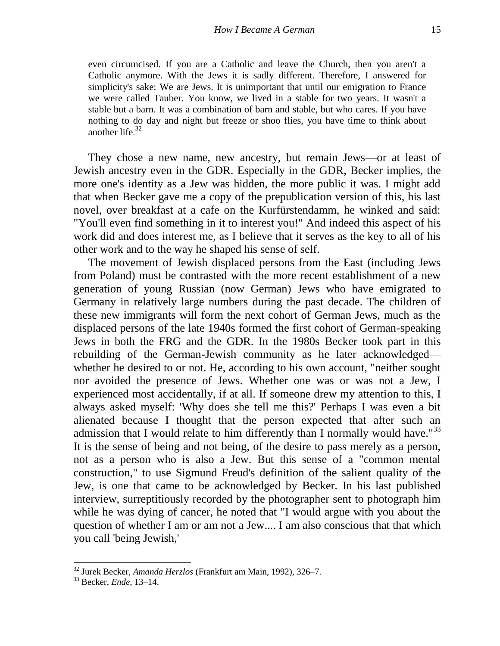even circumcised. If you are a Catholic and leave the Church, then you aren't a Catholic anymore. With the Jews it is sadly different. Therefore, I answered for simplicity's sake: We are Jews. It is unimportant that until our emigration to France we were called Tauber. You know, we lived in a stable for two years. It wasn't a stable but a barn. It was a combination of barn and stable, but who cares. If you have nothing to do day and night but freeze or shoo flies, you have time to think about another life. 32

They chose a new name, new ancestry, but remain Jews—or at least of Jewish ancestry even in the GDR. Especially in the GDR, Becker implies, the more one's identity as a Jew was hidden, the more public it was. I might add that when Becker gave me a copy of the prepublication version of this, his last novel, over breakfast at a cafe on the Kurfürstendamm, he winked and said: "You'll even find something in it to interest you!" And indeed this aspect of his work did and does interest me, as I believe that it serves as the key to all of his other work and to the way he shaped his sense of self.

The movement of Jewish displaced persons from the East (including Jews from Poland) must be contrasted with the more recent establishment of a new generation of young Russian (now German) Jews who have emigrated to Germany in relatively large numbers during the past decade. The children of these new immigrants will form the next cohort of German Jews, much as the displaced persons of the late 1940s formed the first cohort of German-speaking Jews in both the FRG and the GDR. In the 1980s Becker took part in this rebuilding of the German-Jewish community as he later acknowledged whether he desired to or not. He, according to his own account, "neither sought nor avoided the presence of Jews. Whether one was or was not a Jew, I experienced most accidentally, if at all. If someone drew my attention to this, I always asked myself: 'Why does she tell me this?' Perhaps I was even a bit alienated because I thought that the person expected that after such an admission that I would relate to him differently than I normally would have." $33$ It is the sense of being and not being, of the desire to pass merely as a person, not as a person who is also a Jew. But this sense of a "common mental construction," to use Sigmund Freud's definition of the salient quality of the Jew, is one that came to be acknowledged by Becker. In his last published interview, surreptitiously recorded by the photographer sent to photograph him while he was dying of cancer, he noted that "I would argue with you about the question of whether I am or am not a Jew.... I am also conscious that that which you call 'being Jewish,'

<sup>32</sup> Jurek Becker, *Amanda Herzlos* (Frankfurt am Main, 1992), 326–7.

<sup>33</sup> Becker, *Ende*, 13–14.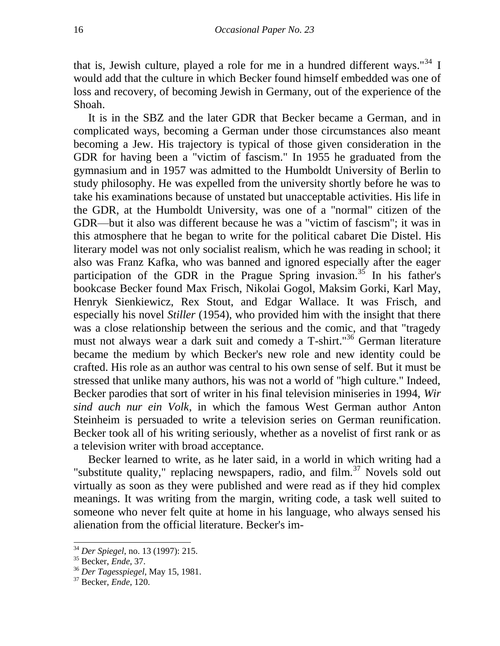that is, Jewish culture, played a role for me in a hundred different ways."<sup>34</sup> I would add that the culture in which Becker found himself embedded was one of loss and recovery, of becoming Jewish in Germany, out of the experience of the Shoah.

It is in the SBZ and the later GDR that Becker became a German, and in complicated ways, becoming a German under those circumstances also meant becoming a Jew. His trajectory is typical of those given consideration in the GDR for having been a "victim of fascism." In 1955 he graduated from the gymnasium and in 1957 was admitted to the Humboldt University of Berlin to study philosophy. He was expelled from the university shortly before he was to take his examinations because of unstated but unacceptable activities. His life in the GDR, at the Humboldt University, was one of a "normal" citizen of the GDR—but it also was different because he was a "victim of fascism"; it was in this atmosphere that he began to write for the political cabaret Die Distel. His literary model was not only socialist realism, which he was reading in school; it also was Franz Kafka, who was banned and ignored especially after the eager participation of the GDR in the Prague Spring invasion.<sup>35</sup> In his father's bookcase Becker found Max Frisch, Nikolai Gogol, Maksim Gorki, Karl May, Henryk Sienkiewicz, Rex Stout, and Edgar Wallace. It was Frisch, and especially his novel *Stiller* (1954), who provided him with the insight that there was a close relationship between the serious and the comic, and that "tragedy must not always wear a dark suit and comedy a T-shirt."<sup>36</sup> German literature became the medium by which Becker's new role and new identity could be crafted. His role as an author was central to his own sense of self. But it must be stressed that unlike many authors, his was not a world of "high culture." Indeed, Becker parodies that sort of writer in his final television miniseries in 1994, *Wir sind auch nur ein Volk*, in which the famous West German author Anton Steinheim is persuaded to write a television series on German reunification. Becker took all of his writing seriously, whether as a novelist of first rank or as a television writer with broad acceptance.

Becker learned to write, as he later said, in a world in which writing had a "substitute quality," replacing newspapers, radio, and  $film<sup>37</sup>$  Novels sold out virtually as soon as they were published and were read as if they hid complex meanings. It was writing from the margin, writing code, a task well suited to someone who never felt quite at home in his language, who always sensed his alienation from the official literature. Becker's im-

<sup>34</sup> *Der Spiegel*, no. 13 (1997): 215.

<sup>35</sup> Becker, *Ende*, 37.

<sup>36</sup> *Der Tagesspiegel*, May 15, 1981.

<sup>37</sup> Becker, *Ende*, 120.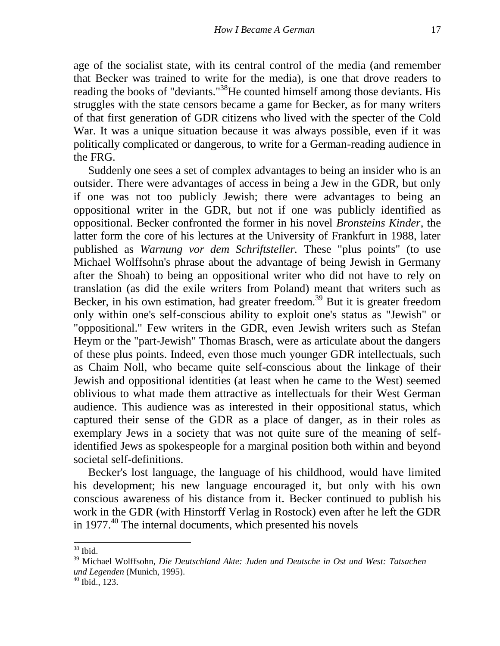age of the socialist state, with its central control of the media (and remember that Becker was trained to write for the media), is one that drove readers to reading the books of "deviants."<sup>38</sup>He counted himself among those deviants. His struggles with the state censors became a game for Becker, as for many writers of that first generation of GDR citizens who lived with the specter of the Cold War. It was a unique situation because it was always possible, even if it was politically complicated or dangerous, to write for a German-reading audience in the FRG.

Suddenly one sees a set of complex advantages to being an insider who is an outsider. There were advantages of access in being a Jew in the GDR, but only if one was not too publicly Jewish; there were advantages to being an oppositional writer in the GDR, but not if one was publicly identified as oppositional. Becker confronted the former in his novel *Bronsteins Kinder*, the latter form the core of his lectures at the University of Frankfurt in 1988, later published as *Warnung vor dem Schriftsteller.* These "plus points" (to use Michael Wolffsohn's phrase about the advantage of being Jewish in Germany after the Shoah) to being an oppositional writer who did not have to rely on translation (as did the exile writers from Poland) meant that writers such as Becker, in his own estimation, had greater freedom.<sup>39</sup> But it is greater freedom only within one's self-conscious ability to exploit one's status as "Jewish" or "oppositional." Few writers in the GDR, even Jewish writers such as Stefan Heym or the "part-Jewish" Thomas Brasch, were as articulate about the dangers of these plus points. Indeed, even those much younger GDR intellectuals, such as Chaim Noll, who became quite self-conscious about the linkage of their Jewish and oppositional identities (at least when he came to the West) seemed oblivious to what made them attractive as intellectuals for their West German audience. This audience was as interested in their oppositional status, which captured their sense of the GDR as a place of danger, as in their roles as exemplary Jews in a society that was not quite sure of the meaning of selfidentified Jews as spokespeople for a marginal position both within and beyond societal self-definitions.

Becker's lost language, the language of his childhood, would have limited his development; his new language encouraged it, but only with his own conscious awareness of his distance from it. Becker continued to publish his work in the GDR (with Hinstorff Verlag in Rostock) even after he left the GDR in 1977.<sup>40</sup> The internal documents, which presented his novels

 $\overline{a}$  $38$  Ibid.

<sup>39</sup> Michael Wolffsohn, *Die Deutschland Akte: Juden und Deutsche in Ost und West: Tatsachen und Legenden* (Munich, 1995).

<sup>40</sup> Ibid., 123.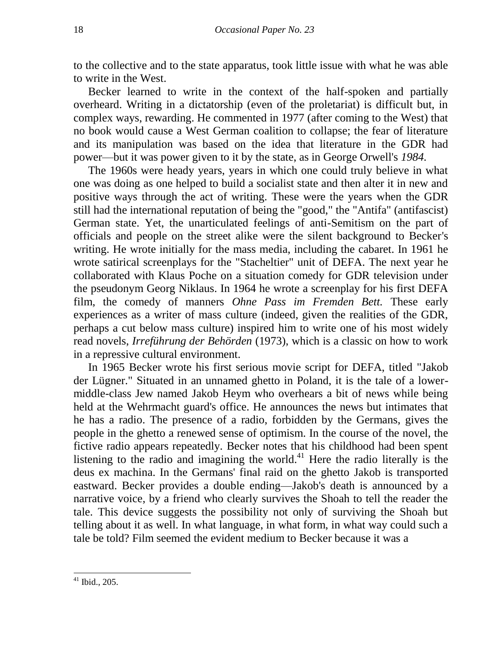to the collective and to the state apparatus, took little issue with what he was able to write in the West.

Becker learned to write in the context of the half-spoken and partially overheard. Writing in a dictatorship (even of the proletariat) is difficult but, in complex ways, rewarding. He commented in 1977 (after coming to the West) that no book would cause a West German coalition to collapse; the fear of literature and its manipulation was based on the idea that literature in the GDR had power—but it was power given to it by the state, as in George Orwell's *1984.*

The 1960s were heady years, years in which one could truly believe in what one was doing as one helped to build a socialist state and then alter it in new and positive ways through the act of writing. These were the years when the GDR still had the international reputation of being the "good," the "Antifa" (antifascist) German state. Yet, the unarticulated feelings of anti-Semitism on the part of officials and people on the street alike were the silent background to Becker's writing. He wrote initially for the mass media, including the cabaret. In 1961 he wrote satirical screenplays for the "Stacheltier" unit of DEFA. The next year he collaborated with Klaus Poche on a situation comedy for GDR television under the pseudonym Georg Niklaus. In 1964 he wrote a screenplay for his first DEFA film, the comedy of manners *Ohne Pass im Fremden Bett.* These early experiences as a writer of mass culture (indeed, given the realities of the GDR, perhaps a cut below mass culture) inspired him to write one of his most widely read novels, *Irreführung der Behörden* (1973), which is a classic on how to work in a repressive cultural environment.

In 1965 Becker wrote his first serious movie script for DEFA, titled "Jakob der Lügner." Situated in an unnamed ghetto in Poland, it is the tale of a lowermiddle-class Jew named Jakob Heym who overhears a bit of news while being held at the Wehrmacht guard's office. He announces the news but intimates that he has a radio. The presence of a radio, forbidden by the Germans, gives the people in the ghetto a renewed sense of optimism. In the course of the novel, the fictive radio appears repeatedly. Becker notes that his childhood had been spent listening to the radio and imagining the world.<sup>41</sup> Here the radio literally is the deus ex machina. In the Germans' final raid on the ghetto Jakob is transported eastward. Becker provides a double ending—Jakob's death is announced by a narrative voice, by a friend who clearly survives the Shoah to tell the reader the tale. This device suggests the possibility not only of surviving the Shoah but telling about it as well. In what language, in what form, in what way could such a tale be told? Film seemed the evident medium to Becker because it was a

 $41$  Ibid., 205.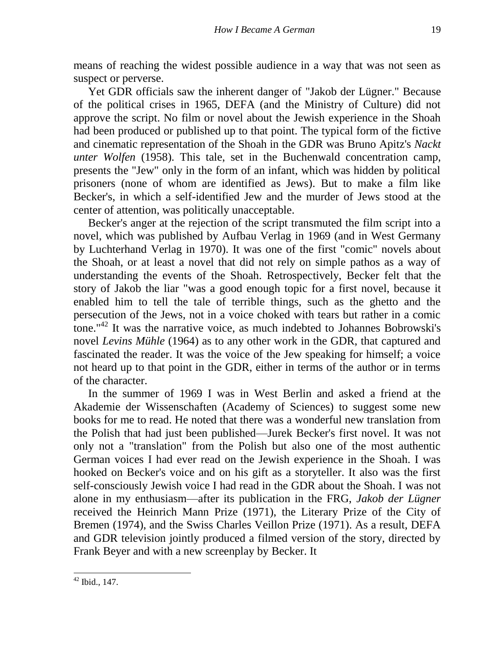means of reaching the widest possible audience in a way that was not seen as suspect or perverse.

Yet GDR officials saw the inherent danger of "Jakob der Lügner." Because of the political crises in 1965, DEFA (and the Ministry of Culture) did not approve the script. No film or novel about the Jewish experience in the Shoah had been produced or published up to that point. The typical form of the fictive and cinematic representation of the Shoah in the GDR was Bruno Apitz's *Nackt unter Wolfen* (1958). This tale, set in the Buchenwald concentration camp, presents the "Jew" only in the form of an infant, which was hidden by political prisoners (none of whom are identified as Jews). But to make a film like Becker's, in which a self-identified Jew and the murder of Jews stood at the center of attention, was politically unacceptable.

Becker's anger at the rejection of the script transmuted the film script into a novel, which was published by Aufbau Verlag in 1969 (and in West Germany by Luchterhand Verlag in 1970). It was one of the first "comic" novels about the Shoah, or at least a novel that did not rely on simple pathos as a way of understanding the events of the Shoah. Retrospectively, Becker felt that the story of Jakob the liar "was a good enough topic for a first novel, because it enabled him to tell the tale of terrible things, such as the ghetto and the persecution of the Jews, not in a voice choked with tears but rather in a comic tone."<sup>42</sup> It was the narrative voice, as much indebted to Johannes Bobrowski's novel *Levins Mühle* (1964) as to any other work in the GDR, that captured and fascinated the reader. It was the voice of the Jew speaking for himself; a voice not heard up to that point in the GDR, either in terms of the author or in terms of the character.

In the summer of 1969 I was in West Berlin and asked a friend at the Akademie der Wissenschaften (Academy of Sciences) to suggest some new books for me to read. He noted that there was a wonderful new translation from the Polish that had just been published—Jurek Becker's first novel. It was not only not a "translation" from the Polish but also one of the most authentic German voices I had ever read on the Jewish experience in the Shoah. I was hooked on Becker's voice and on his gift as a storyteller. It also was the first self-consciously Jewish voice I had read in the GDR about the Shoah. I was not alone in my enthusiasm—after its publication in the FRG, *Jakob der Lügner*  received the Heinrich Mann Prize (1971), the Literary Prize of the City of Bremen (1974), and the Swiss Charles Veillon Prize (1971). As a result, DEFA and GDR television jointly produced a filmed version of the story, directed by Frank Beyer and with a new screenplay by Becker. It

 $42$  Ibid., 147.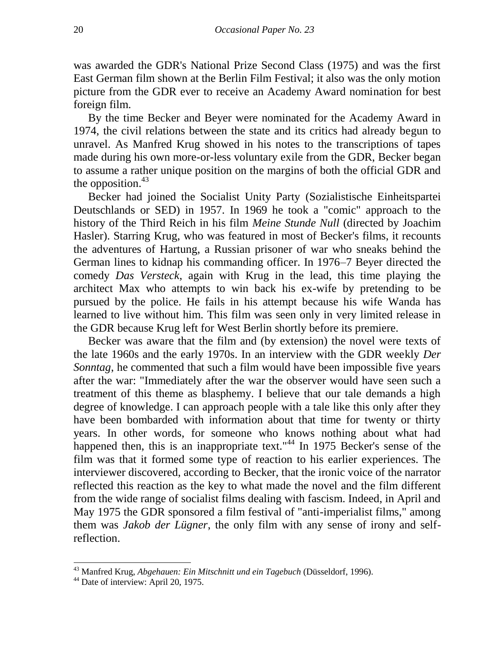was awarded the GDR's National Prize Second Class (1975) and was the first East German film shown at the Berlin Film Festival; it also was the only motion picture from the GDR ever to receive an Academy Award nomination for best foreign film.

By the time Becker and Beyer were nominated for the Academy Award in 1974, the civil relations between the state and its critics had already begun to unravel. As Manfred Krug showed in his notes to the transcriptions of tapes made during his own more-or-less voluntary exile from the GDR, Becker began to assume a rather unique position on the margins of both the official GDR and the opposition. $43$ 

Becker had joined the Socialist Unity Party (Sozialistische Einheitspartei Deutschlands or SED) in 1957. In 1969 he took a "comic" approach to the history of the Third Reich in his film *Meine Stunde Null* (directed by Joachim Hasler). Starring Krug, who was featured in most of Becker's films, it recounts the adventures of Hartung, a Russian prisoner of war who sneaks behind the German lines to kidnap his commanding officer. In 1976–7 Beyer directed the comedy *Das Versteck*, again with Krug in the lead, this time playing the architect Max who attempts to win back his ex-wife by pretending to be pursued by the police. He fails in his attempt because his wife Wanda has learned to live without him. This film was seen only in very limited release in the GDR because Krug left for West Berlin shortly before its premiere.

Becker was aware that the film and (by extension) the novel were texts of the late 1960s and the early 1970s. In an interview with the GDR weekly *Der Sonntag*, he commented that such a film would have been impossible five years after the war: "Immediately after the war the observer would have seen such a treatment of this theme as blasphemy. I believe that our tale demands a high degree of knowledge. I can approach people with a tale like this only after they have been bombarded with information about that time for twenty or thirty years. In other words, for someone who knows nothing about what had happened then, this is an inappropriate text."<sup>44</sup> In 1975 Becker's sense of the film was that it formed some type of reaction to his earlier experiences. The interviewer discovered, according to Becker, that the ironic voice of the narrator reflected this reaction as the key to what made the novel and the film different from the wide range of socialist films dealing with fascism. Indeed, in April and May 1975 the GDR sponsored a film festival of "anti-imperialist films," among them was *Jakob der Lügner*, the only film with any sense of irony and selfreflection.

<sup>43</sup> Manfred Krug, *Abgehauen: Ein Mitschnitt und ein Tagebuch* (Düsseldorf, 1996).

<sup>&</sup>lt;sup>44</sup> Date of interview: April 20, 1975.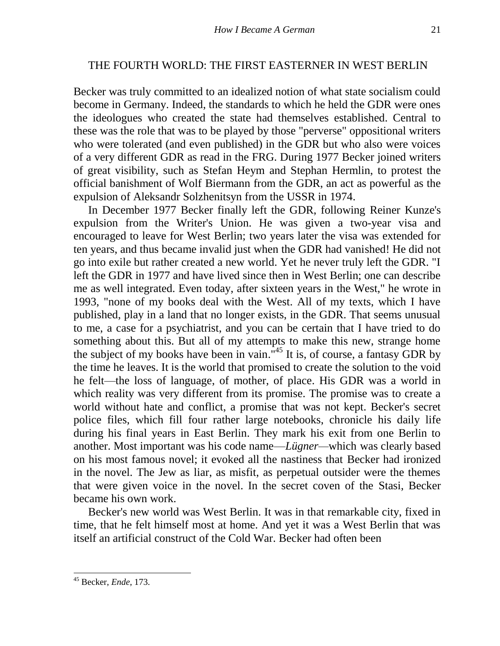#### THE FOURTH WORLD: THE FIRST EASTERNER IN WEST BERLIN

Becker was truly committed to an idealized notion of what state socialism could become in Germany. Indeed, the standards to which he held the GDR were ones the ideologues who created the state had themselves established. Central to these was the role that was to be played by those "perverse" oppositional writers who were tolerated (and even published) in the GDR but who also were voices of a very different GDR as read in the FRG. During 1977 Becker joined writers of great visibility, such as Stefan Heym and Stephan Hermlin, to protest the official banishment of Wolf Biermann from the GDR, an act as powerful as the expulsion of Aleksandr Solzhenitsyn from the USSR in 1974.

In December 1977 Becker finally left the GDR, following Reiner Kunze's expulsion from the Writer's Union. He was given a two-year visa and encouraged to leave for West Berlin; two years later the visa was extended for ten years, and thus became invalid just when the GDR had vanished! He did not go into exile but rather created a new world. Yet he never truly left the GDR. "I left the GDR in 1977 and have lived since then in West Berlin; one can describe me as well integrated. Even today, after sixteen years in the West," he wrote in 1993, "none of my books deal with the West. All of my texts, which I have published, play in a land that no longer exists, in the GDR. That seems unusual to me, a case for a psychiatrist, and you can be certain that I have tried to do something about this. But all of my attempts to make this new, strange home the subject of my books have been in vain.<sup>"45</sup> It is, of course, a fantasy GDR by the time he leaves. It is the world that promised to create the solution to the void he felt—the loss of language, of mother, of place. His GDR was a world in which reality was very different from its promise. The promise was to create a world without hate and conflict, a promise that was not kept. Becker's secret police files, which fill four rather large notebooks, chronicle his daily life during his final years in East Berlin. They mark his exit from one Berlin to another. Most important was his code name—*Lügner—*which was clearly based on his most famous novel; it evoked all the nastiness that Becker had ironized in the novel. The Jew as liar, as misfit, as perpetual outsider were the themes that were given voice in the novel. In the secret coven of the Stasi, Becker became his own work.

Becker's new world was West Berlin. It was in that remarkable city, fixed in time, that he felt himself most at home. And yet it was a West Berlin that was itself an artificial construct of the Cold War. Becker had often been

<sup>45</sup> Becker, *Ende*, 173.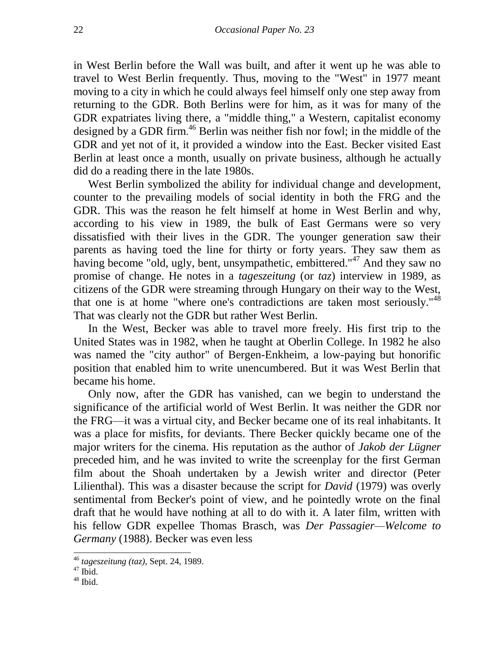in West Berlin before the Wall was built, and after it went up he was able to travel to West Berlin frequently. Thus, moving to the "West" in 1977 meant moving to a city in which he could always feel himself only one step away from returning to the GDR. Both Berlins were for him, as it was for many of the GDR expatriates living there, a "middle thing," a Western, capitalist economy designed by a GDR firm. <sup>46</sup> Berlin was neither fish nor fowl; in the middle of the GDR and yet not of it, it provided a window into the East. Becker visited East Berlin at least once a month, usually on private business, although he actually did do a reading there in the late 1980s.

West Berlin symbolized the ability for individual change and development, counter to the prevailing models of social identity in both the FRG and the GDR. This was the reason he felt himself at home in West Berlin and why, according to his view in 1989, the bulk of East Germans were so very dissatisfied with their lives in the GDR. The younger generation saw their parents as having toed the line for thirty or forty years. They saw them as having become "old, ugly, bent, unsympathetic, embittered."<sup>47</sup> And they saw no promise of change. He notes in a *tageszeitung* (or *taz*) interview in 1989, as citizens of the GDR were streaming through Hungary on their way to the West, that one is at home "where one's contradictions are taken most seriously."<sup>48</sup> That was clearly not the GDR but rather West Berlin.

In the West, Becker was able to travel more freely. His first trip to the United States was in 1982, when he taught at Oberlin College. In 1982 he also was named the "city author" of Bergen-Enkheim, a low-paying but honorific position that enabled him to write unencumbered. But it was West Berlin that became his home.

Only now, after the GDR has vanished, can we begin to understand the significance of the artificial world of West Berlin. It was neither the GDR nor the FRG—it was a virtual city, and Becker became one of its real inhabitants. It was a place for misfits, for deviants. There Becker quickly became one of the major writers for the cinema. His reputation as the author of *Jakob der Lügner*  preceded him, and he was invited to write the screenplay for the first German film about the Shoah undertaken by a Jewish writer and director (Peter Lilienthal). This was a disaster because the script for *David* (1979) was overly sentimental from Becker's point of view, and he pointedly wrote on the final draft that he would have nothing at all to do with it. A later film, written with his fellow GDR expellee Thomas Brasch, was *Der Passagier—Welcome to Germany* (1988). Becker was even less

<sup>46</sup> *tageszeitung (taz)*, Sept. 24, 1989.

 $47$  Ibid.

 $48$  Ibid.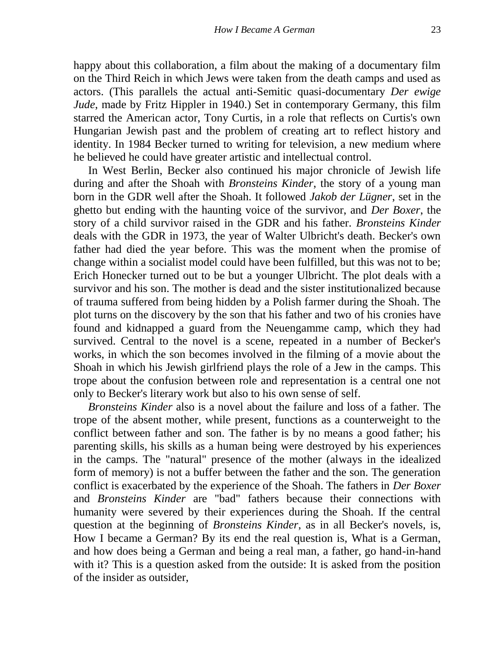happy about this collaboration, a film about the making of a documentary film on the Third Reich in which Jews were taken from the death camps and used as actors. (This parallels the actual anti-Semitic quasi-documentary *Der ewige Jude*, made by Fritz Hippler in 1940.) Set in contemporary Germany, this film starred the American actor, Tony Curtis, in a role that reflects on Curtis's own Hungarian Jewish past and the problem of creating art to reflect history and identity. In 1984 Becker turned to writing for television, a new medium where he believed he could have greater artistic and intellectual control.

In West Berlin, Becker also continued his major chronicle of Jewish life during and after the Shoah with *Bronsteins Kinder*, the story of a young man born in the GDR well after the Shoah. It followed *Jakob der Lügner*, set in the ghetto but ending with the haunting voice of the survivor, and *Der Boxer*, the story of a child survivor raised in the GDR and his father. *Bronsteins Kinder* deals with the GDR in 1973, the year of Walter Ulbricht's death. Becker's own father had died the year before. This was the moment when the promise of change within a socialist model could have been fulfilled, but this was not to be; Erich Honecker turned out to be but a younger Ulbricht. The plot deals with a survivor and his son. The mother is dead and the sister institutionalized because of trauma suffered from being hidden by a Polish farmer during the Shoah. The plot turns on the discovery by the son that his father and two of his cronies have found and kidnapped a guard from the Neuengamme camp, which they had survived. Central to the novel is a scene, repeated in a number of Becker's works, in which the son becomes involved in the filming of a movie about the Shoah in which his Jewish girlfriend plays the role of a Jew in the camps. This trope about the confusion between role and representation is a central one not only to Becker's literary work but also to his own sense of self.

*Bronsteins Kinder* also is a novel about the failure and loss of a father. The trope of the absent mother, while present, functions as a counterweight to the conflict between father and son. The father is by no means a good father; his parenting skills, his skills as a human being were destroyed by his experiences in the camps. The "natural" presence of the mother (always in the idealized form of memory) is not a buffer between the father and the son. The generation conflict is exacerbated by the experience of the Shoah. The fathers in *Der Boxer*  and *Bronsteins Kinder* are "bad" fathers because their connections with humanity were severed by their experiences during the Shoah. If the central question at the beginning of *Bronsteins Kinder*, as in all Becker's novels, is, How I became a German? By its end the real question is, What is a German, and how does being a German and being a real man, a father, go hand-in-hand with it? This is a question asked from the outside: It is asked from the position of the insider as outsider,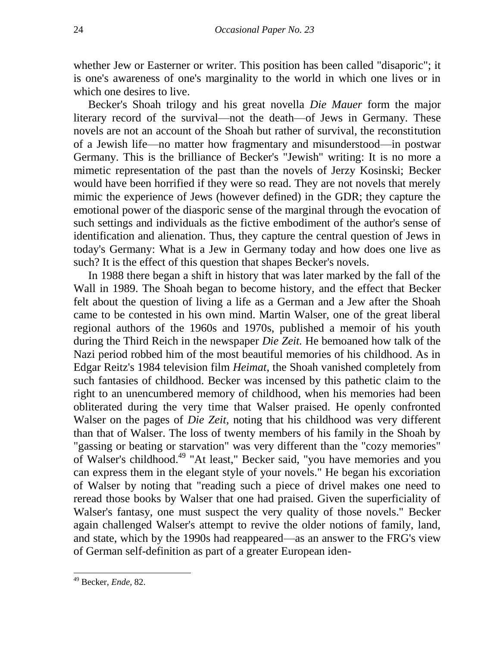whether Jew or Easterner or writer. This position has been called "disaporic"; it is one's awareness of one's marginality to the world in which one lives or in which one desires to live.

Becker's Shoah trilogy and his great novella *Die Mauer* form the major literary record of the survival—not the death—of Jews in Germany. These novels are not an account of the Shoah but rather of survival, the reconstitution of a Jewish life—no matter how fragmentary and misunderstood—in postwar Germany. This is the brilliance of Becker's "Jewish" writing: It is no more a mimetic representation of the past than the novels of Jerzy Kosinski; Becker would have been horrified if they were so read. They are not novels that merely mimic the experience of Jews (however defined) in the GDR; they capture the emotional power of the diasporic sense of the marginal through the evocation of such settings and individuals as the fictive embodiment of the author's sense of identification and alienation. Thus, they capture the central question of Jews in today's Germany: What is a Jew in Germany today and how does one live as such? It is the effect of this question that shapes Becker's novels.

In 1988 there began a shift in history that was later marked by the fall of the Wall in 1989. The Shoah began to become history, and the effect that Becker felt about the question of living a life as a German and a Jew after the Shoah came to be contested in his own mind. Martin Walser, one of the great liberal regional authors of the 1960s and 1970s, published a memoir of his youth during the Third Reich in the newspaper *Die Zeit.* He bemoaned how talk of the Nazi period robbed him of the most beautiful memories of his childhood. As in Edgar Reitz's 1984 television film *Heimat*, the Shoah vanished completely from such fantasies of childhood. Becker was incensed by this pathetic claim to the right to an unencumbered memory of childhood, when his memories had been obliterated during the very time that Walser praised. He openly confronted Walser on the pages of *Die Zeit*, noting that his childhood was very different than that of Walser. The loss of twenty members of his family in the Shoah by "gassing or beating or starvation" was very different than the "cozy memories" of Walser's childhood.<sup>49</sup> "At least," Becker said, "you have memories and you can express them in the elegant style of your novels." He began his excoriation of Walser by noting that "reading such a piece of drivel makes one need to reread those books by Walser that one had praised. Given the superficiality of Walser's fantasy, one must suspect the very quality of those novels." Becker again challenged Walser's attempt to revive the older notions of family, land, and state, which by the 1990s had reappeared—as an answer to the FRG's view of German self-definition as part of a greater European iden-

 $\overline{\phantom{a}}$ 

<sup>49</sup> Becker, *Ende*, 82.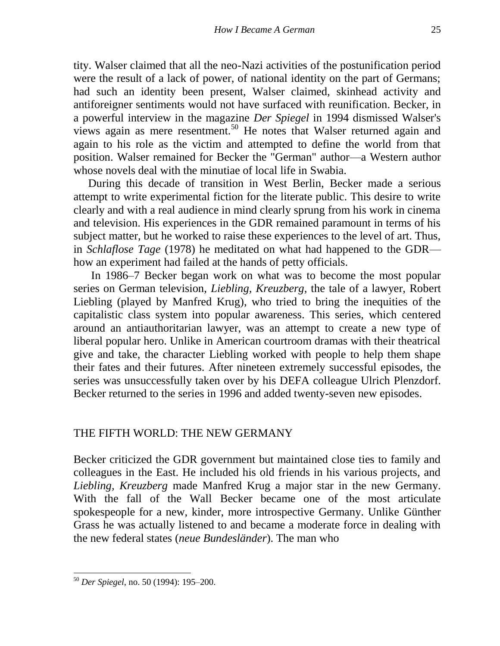tity. Walser claimed that all the neo-Nazi activities of the postunification period were the result of a lack of power, of national identity on the part of Germans; had such an identity been present, Walser claimed, skinhead activity and antiforeigner sentiments would not have surfaced with reunification. Becker, in a powerful interview in the magazine *Der Spiegel* in 1994 dismissed Walser's views again as mere resentment.<sup>50</sup> He notes that Walser returned again and again to his role as the victim and attempted to define the world from that position. Walser remained for Becker the "German" author—a Western author whose novels deal with the minutiae of local life in Swabia.

During this decade of transition in West Berlin, Becker made a serious attempt to write experimental fiction for the literate public. This desire to write clearly and with a real audience in mind clearly sprung from his work in cinema and television. His experiences in the GDR remained paramount in terms of his subject matter, but he worked to raise these experiences to the level of art. Thus, in *Schlaflose Tage* (1978) he meditated on what had happened to the GDR how an experiment had failed at the hands of petty officials.

In 1986–7 Becker began work on what was to become the most popular series on German television, *Liebling, Kreuzberg*, the tale of a lawyer, Robert Liebling (played by Manfred Krug), who tried to bring the inequities of the capitalistic class system into popular awareness. This series, which centered around an antiauthoritarian lawyer, was an attempt to create a new type of liberal popular hero. Unlike in American courtroom dramas with their theatrical give and take, the character Liebling worked with people to help them shape their fates and their futures. After nineteen extremely successful episodes, the series was unsuccessfully taken over by his DEFA colleague Ulrich Plenzdorf. Becker returned to the series in 1996 and added twenty-seven new episodes.

### THE FIFTH WORLD: THE NEW GERMANY

Becker criticized the GDR government but maintained close ties to family and colleagues in the East. He included his old friends in his various projects, and *Liebling, Kreuzberg* made Manfred Krug a major star in the new Germany. With the fall of the Wall Becker became one of the most articulate spokespeople for a new, kinder, more introspective Germany. Unlike Günther Grass he was actually listened to and became a moderate force in dealing with the new federal states (*neue Bundesländer*). The man who

 $\overline{\phantom{a}}$ 

<sup>50</sup> *Der Spiegel*, no. 50 (1994): 195–200.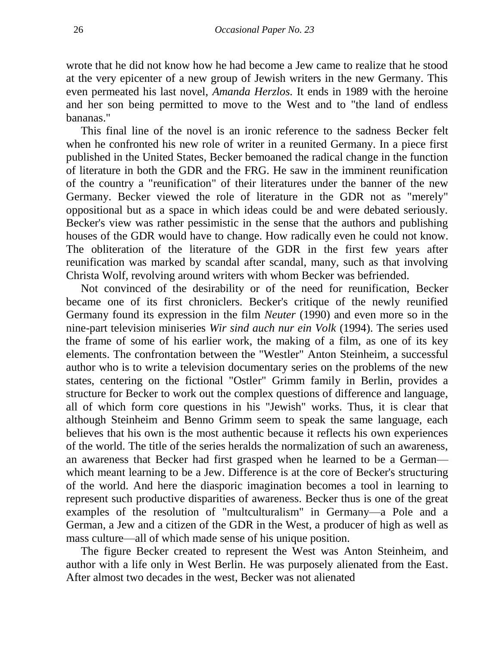wrote that he did not know how he had become a Jew came to realize that he stood at the very epicenter of a new group of Jewish writers in the new Germany. This even permeated his last novel, *Amanda Herzlos.* It ends in 1989 with the heroine and her son being permitted to move to the West and to "the land of endless bananas."

This final line of the novel is an ironic reference to the sadness Becker felt when he confronted his new role of writer in a reunited Germany. In a piece first published in the United States, Becker bemoaned the radical change in the function of literature in both the GDR and the FRG. He saw in the imminent reunification of the country a "reunification" of their literatures under the banner of the new Germany. Becker viewed the role of literature in the GDR not as "merely" oppositional but as a space in which ideas could be and were debated seriously. Becker's view was rather pessimistic in the sense that the authors and publishing houses of the GDR would have to change. How radically even he could not know. The obliteration of the literature of the GDR in the first few years after reunification was marked by scandal after scandal, many, such as that involving Christa Wolf, revolving around writers with whom Becker was befriended.

Not convinced of the desirability or of the need for reunification, Becker became one of its first chroniclers. Becker's critique of the newly reunified Germany found its expression in the film *Neuter* (1990) and even more so in the nine-part television miniseries *Wir sind auch nur ein Volk* (1994). The series used the frame of some of his earlier work, the making of a film, as one of its key elements. The confrontation between the "Westler" Anton Steinheim, a successful author who is to write a television documentary series on the problems of the new states, centering on the fictional "Ostler" Grimm family in Berlin, provides a structure for Becker to work out the complex questions of difference and language, all of which form core questions in his "Jewish" works. Thus, it is clear that although Steinheim and Benno Grimm seem to speak the same language, each believes that his own is the most authentic because it reflects his own experiences of the world. The title of the series heralds the normalization of such an awareness, an awareness that Becker had first grasped when he learned to be a German which meant learning to be a Jew. Difference is at the core of Becker's structuring of the world. And here the diasporic imagination becomes a tool in learning to represent such productive disparities of awareness. Becker thus is one of the great examples of the resolution of "multculturalism" in Germany—a Pole and a German, a Jew and a citizen of the GDR in the West, a producer of high as well as mass culture—all of which made sense of his unique position.

The figure Becker created to represent the West was Anton Steinheim, and author with a life only in West Berlin. He was purposely alienated from the East. After almost two decades in the west, Becker was not alienated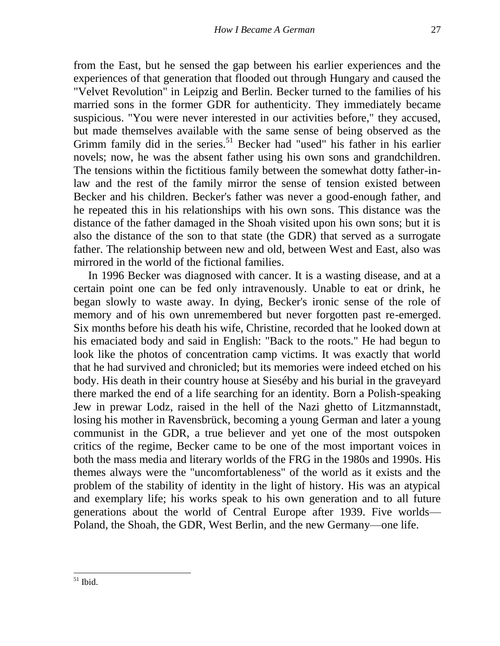from the East, but he sensed the gap between his earlier experiences and the experiences of that generation that flooded out through Hungary and caused the "Velvet Revolution" in Leipzig and Berlin. Becker turned to the families of his married sons in the former GDR for authenticity. They immediately became suspicious. "You were never interested in our activities before," they accused, but made themselves available with the same sense of being observed as the Grimm family did in the series.<sup>51</sup> Becker had "used" his father in his earlier novels; now, he was the absent father using his own sons and grandchildren. The tensions within the fictitious family between the somewhat dotty father-inlaw and the rest of the family mirror the sense of tension existed between Becker and his children. Becker's father was never a good-enough father, and he repeated this in his relationships with his own sons. This distance was the distance of the father damaged in the Shoah visited upon his own sons; but it is also the distance of the son to that state (the GDR) that served as a surrogate father. The relationship between new and old, between West and East, also was mirrored in the world of the fictional families.

In 1996 Becker was diagnosed with cancer. It is a wasting disease, and at a certain point one can be fed only intravenously. Unable to eat or drink, he began slowly to waste away. In dying, Becker's ironic sense of the role of memory and of his own unremembered but never forgotten past re-emerged. Six months before his death his wife, Christine, recorded that he looked down at his emaciated body and said in English: "Back to the roots." He had begun to look like the photos of concentration camp victims. It was exactly that world that he had survived and chronicled; but its memories were indeed etched on his body. His death in their country house at Sieséby and his burial in the graveyard there marked the end of a life searching for an identity. Born a Polish-speaking Jew in prewar Lodz, raised in the hell of the Nazi ghetto of Litzmannstadt, losing his mother in Ravensbrück, becoming a young German and later a young communist in the GDR, a true believer and yet one of the most outspoken critics of the regime, Becker came to be one of the most important voices in both the mass media and literary worlds of the FRG in the 1980s and 1990s. His themes always were the "uncomfortableness" of the world as it exists and the problem of the stability of identity in the light of history. His was an atypical and exemplary life; his works speak to his own generation and to all future generations about the world of Central Europe after 1939. Five worlds— Poland, the Shoah, the GDR, West Berlin, and the new Germany—one life.

 $\overline{\phantom{a}}$  $51$  Ibid.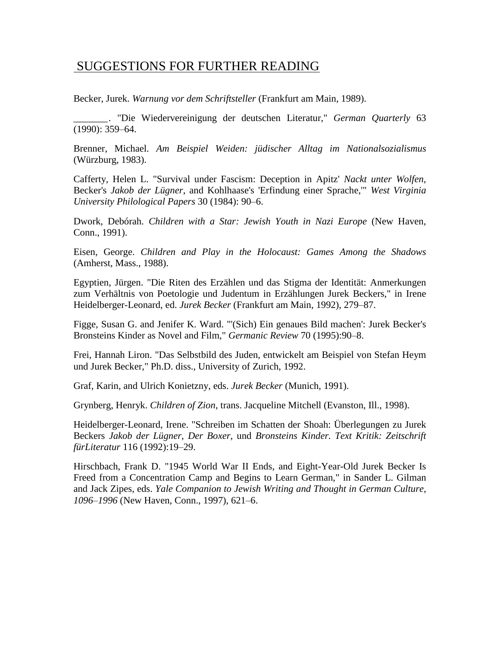# SUGGESTIONS FOR FURTHER READING

Becker, Jurek. *Warnung vor dem Schriftsteller* (Frankfurt am Main, 1989).

*\_\_\_\_\_\_\_.* "Die Wiedervereinigung der deutschen Literatur," *German Quarterly* 63 (1990): 359–64.

Brenner, Michael. *Am Beispiel Weiden: jüdischer Alltag im Nationalsozialismus*  (Würzburg, 1983).

Cafferty, Helen L. "Survival under Fascism: Deception in Apitz' *Nackt unter Wolfen*, Becker's *Jakob der Lügner*, and Kohlhaase's 'Erfindung einer Sprache,'" *West Virginia University Philological Papers* 30 (1984): 90–6.

Dwork, Debórah. *Children with a Star: Jewish Youth in Nazi Europe* (New Haven, Conn., 1991).

Eisen, George. *Children and Play in the Holocaust: Games Among the Shadows* (Amherst, Mass., 1988).

Egyptien, Jürgen. "Die Riten des Erzählen und das Stigma der Identität: Anmerkungen zum Verhältnis von Poetologie und Judentum in Erzählungen Jurek Beckers," in Irene Heidelberger-Leonard, ed. *Jurek Becker* (Frankfurt am Main, 1992), 279–87.

Figge, Susan G. and Jenifer K. Ward. "'(Sich) Ein genaues Bild machen': Jurek Becker's Bronsteins Kinder as Novel and Film," *Germanic Review* 70 (1995):90–8.

Frei, Hannah Liron. "Das Selbstbild des Juden, entwickelt am Beispiel von Stefan Heym und Jurek Becker," Ph.D. diss., University of Zurich, 1992.

Graf, Karin, and Ulrich Konietzny, eds. *Jurek Becker* (Munich, 1991).

Grynberg, Henryk. *Children of Zion*, trans. Jacqueline Mitchell (Evanston, Ill., 1998).

Heidelberger-Leonard, Irene. "Schreiben im Schatten der Shoah: Überlegungen zu Jurek Beckers *Jakob der Lügner*, *Der Boxer*, und *Bronsteins Kinder. Text Kritik: Zeitschrift fürLiteratur* 116 (1992):19–29.

Hirschbach, Frank D. "1945 World War II Ends, and Eight-Year-Old Jurek Becker Is Freed from a Concentration Camp and Begins to Learn German," in Sander L. Gilman and Jack Zipes, eds. *Yale Companion to Jewish Writing and Thought in German Culture, 1096–1996* (New Haven, Conn., 1997), 621–6.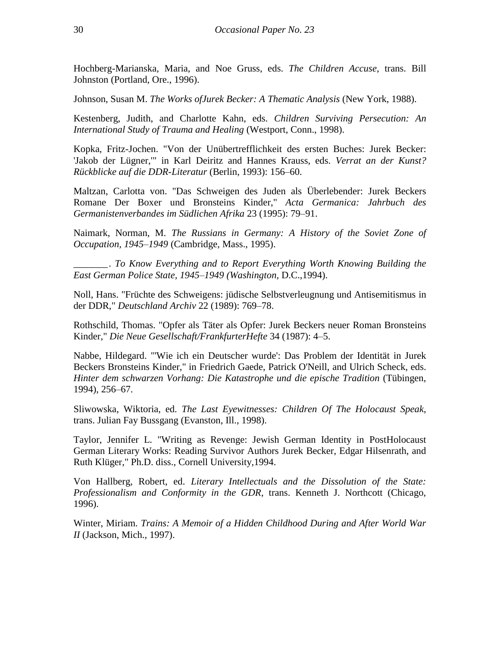Hochberg-Marianska, Maria, and Noe Gruss, eds. *The Children Accuse*, trans. Bill Johnston (Portland, Ore., 1996).

Johnson, Susan M. *The Works ofJurek Becker: A Thematic Analysis* (New York, 1988).

Kestenberg, Judith, and Charlotte Kahn, eds. *Children Surviving Persecution: An International Study of Trauma and Healing* (Westport, Conn., 1998).

Kopka, Fritz-Jochen. "Von der Unübertrefflichkeit des ersten Buches: Jurek Becker: 'Jakob der Lügner,'" in Karl Deiritz and Hannes Krauss, eds. *Verrat an der Kunst? Rückblicke auf die DDR-Literatur* (Berlin, 1993): 156–60.

Maltzan, Carlotta von. "Das Schweigen des Juden als Überlebender: Jurek Beckers Romane Der Boxer und Bronsteins Kinder," *Acta Germanica: Jahrbuch des Germanistenverbandes im Südlichen Afrika* 23 (1995): 79–91.

Naimark, Norman, M. *The Russians in Germany: A History of the Soviet Zone of Occupation, 1945–1949* (Cambridge, Mass., 1995).

\_\_\_\_\_\_\_. *To Know Everything and to Report Everything Worth Knowing Building the East German Police State, 1945–1949 (Washington,* D.C.,1994).

Noll, Hans. "Früchte des Schweigens: jüdische Selbstverleugnung und Antisemitismus in der DDR," *Deutschland Archiv* 22 (1989): 769–78.

Rothschild, Thomas. "Opfer als Täter als Opfer: Jurek Beckers neuer Roman Bronsteins Kinder," *Die Neue Gesellschaft/FrankfurterHefte* 34 (1987): 4–5.

Nabbe, Hildegard. "'Wie ich ein Deutscher wurde': Das Problem der Identität in Jurek Beckers Bronsteins Kinder," in Friedrich Gaede, Patrick O'Neill, and Ulrich Scheck, eds. *Hinter dem schwarzen Vorhang: Die Katastrophe und die epische Tradition* (Tübingen, 1994), 256–67.

Sliwowska, Wiktoria, ed. *The Last Eyewitnesses: Children Of The Holocaust Speak*, trans. Julian Fay Bussgang (Evanston, Ill., 1998).

Taylor, Jennifer L. "Writing as Revenge: Jewish German Identity in PostHolocaust German Literary Works: Reading Survivor Authors Jurek Becker, Edgar Hilsenrath, and Ruth Klüger," Ph.D. diss., Cornell University,1994.

Von Hallberg, Robert, ed. *Literary Intellectuals and the Dissolution of the State: Professionalism and Conformity in the GDR*, trans. Kenneth J. Northcott (Chicago, 1996).

Winter, Miriam. *Trains: A Memoir of a Hidden Childhood During and After World War II* (Jackson, Mich., 1997).